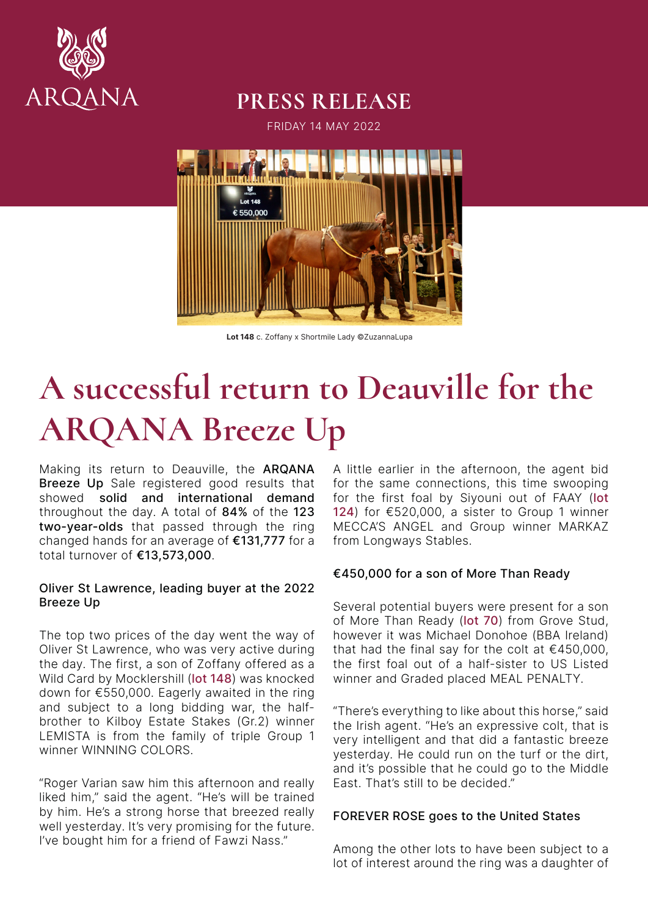

# **PRESS RELEASE**

FRIDAY 14 MAY 2022



Lot 148 c. Zoffany x Shortmile Lady ©ZuzannaLupa

# **A successful return to Deauville for the ARQANA Breeze Up**

Making its return to Deauville, the ARQANA Breeze Up Sale registered good results that showed solid and international demand throughout the day. A total of 84% of the 123 two-year-olds that passed through the ring changed hands for an average of €131,777 for a total turnover of €13,573,000.

### Oliver St Lawrence, leading buyer at the 2022 Breeze Up

The top two prices of the day went the way of Oliver St Lawrence, who was very active during the day. The first, a son of Zoffany offered as a Wild Card by Mocklershill (lot 148) was knocked down for €550,000. Eagerly awaited in the ring and subject to a long bidding war, the halfbrother to Kilboy Estate Stakes (Gr.2) winner LEMISTA is from the family of triple Group 1 winner WINNING COLORS.

"Roger Varian saw him this afternoon and really liked him," said the agent. "He's will be trained by him. He's a strong horse that breezed really well yesterday. It's very promising for the future. I've bought him for a friend of Fawzi Nass."

A little earlier in the afternoon, the agent bid for the same connections, this time swooping for the first foal by Siyouni out of FAAY (lot 124) for €520,000, a sister to Group 1 winner MECCA'S ANGEL and Group winner MARKAZ from Longways Stables.

# €450,000 for a son of More Than Ready

Several potential buyers were present for a son of More Than Ready (lot 70) from Grove Stud, however it was Michael Donohoe (BBA Ireland) that had the final say for the colt at  $€450.000$ . the first foal out of a half-sister to US Listed winner and Graded placed MEAL PENALTY.

"There's everything to like about this horse," said the Irish agent. "He's an expressive colt, that is very intelligent and that did a fantastic breeze yesterday. He could run on the turf or the dirt, and it's possible that he could go to the Middle East. That's still to be decided."

# FOREVER ROSE goes to the United States

Among the other lots to have been subject to a lot of interest around the ring was a daughter of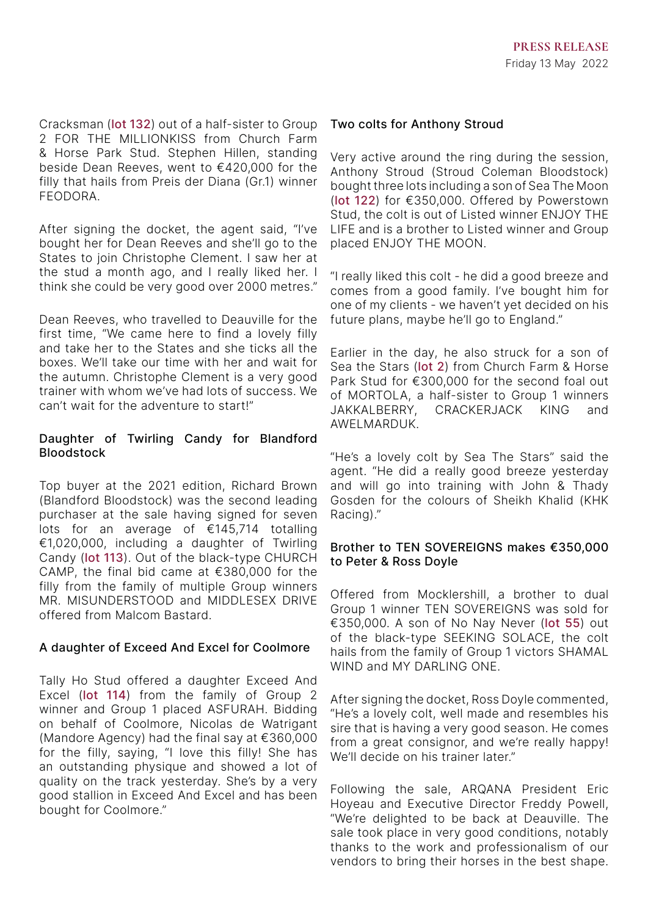Cracksman (lot 132) out of a half-sister to Group 2 FOR THE MILLIONKISS from Church Farm & Horse Park Stud. Stephen Hillen, standing beside Dean Reeves, went to €420,000 for the filly that hails from Preis der Diana (Gr.1) winner FEODORA.

After signing the docket, the agent said, "I've bought her for Dean Reeves and she'll go to the States to join Christophe Clement. I saw her at the stud a month ago, and I really liked her. I think she could be very good over 2000 metres."

Dean Reeves, who travelled to Deauville for the first time, "We came here to find a lovely filly and take her to the States and she ticks all the boxes. We'll take our time with her and wait for the autumn. Christophe Clement is a very good trainer with whom we've had lots of success. We can't wait for the adventure to start!"

### Daughter of Twirling Candy for Blandford Bloodstock

Top buyer at the 2021 edition, Richard Brown (Blandford Bloodstock) was the second leading purchaser at the sale having signed for seven lots for an average of €145,714 totalling €1,020,000, including a daughter of Twirling Candy (lot 113). Out of the black-type CHURCH CAMP, the final bid came at €380,000 for the filly from the family of multiple Group winners MR. MISUNDERSTOOD and MIDDLESEX DRIVE offered from Malcom Bastard.

# A daughter of Exceed And Excel for Coolmore

Tally Ho Stud offered a daughter Exceed And Excel (lot 114) from the family of Group 2 winner and Group 1 placed ASFURAH. Bidding on behalf of Coolmore, Nicolas de Watrigant (Mandore Agency) had the final say at €360,000 for the filly, saying, "I love this filly! She has an outstanding physique and showed a lot of quality on the track yesterday. She's by a very good stallion in Exceed And Excel and has been bought for Coolmore."

### Two colts for Anthony Stroud

Very active around the ring during the session, Anthony Stroud (Stroud Coleman Bloodstock) bought three lots including a son of Sea The Moon (lot 122) for €350,000. Offered by Powerstown Stud, the colt is out of Listed winner ENJOY THE LIFE and is a brother to Listed winner and Group placed ENJOY THE MOON.

"I really liked this colt - he did a good breeze and comes from a good family. I've bought him for one of my clients - we haven't yet decided on his future plans, maybe he'll go to England."

Earlier in the day, he also struck for a son of Sea the Stars (lot 2) from Church Farm & Horse Park Stud for €300,000 for the second foal out of MORTOLA, a half-sister to Group 1 winners JAKKALBERRY, CRACKERJACK KING and AWELMARDUK.

"He's a lovely colt by Sea The Stars" said the agent. "He did a really good breeze yesterday and will go into training with John & Thady Gosden for the colours of Sheikh Khalid (KHK Racing)."

### Brother to TEN SOVEREIGNS makes €350,000 to Peter & Ross Doyle

Offered from Mocklershill, a brother to dual Group 1 winner TEN SOVEREIGNS was sold for €350,000. A son of No Nay Never (lot 55) out of the black-type SEEKING SOLACE, the colt hails from the family of Group 1 victors SHAMAL WIND and MY DARLING ONE.

After signing the docket, Ross Doyle commented, "He's a lovely colt, well made and resembles his sire that is having a very good season. He comes from a great consignor, and we're really happy! We'll decide on his trainer later."

Following the sale, ARQANA President Eric Hoyeau and Executive Director Freddy Powell, "We're delighted to be back at Deauville. The sale took place in very good conditions, notably thanks to the work and professionalism of our vendors to bring their horses in the best shape.